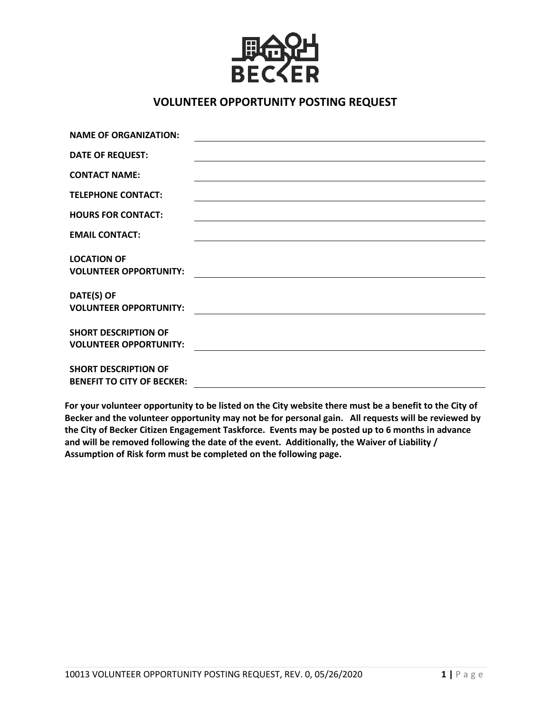

## **VOLUNTEER OPPORTUNITY POSTING REQUEST**

| <b>NAME OF ORGANIZATION:</b>                                     |  |
|------------------------------------------------------------------|--|
| <b>DATE OF REQUEST:</b>                                          |  |
| <b>CONTACT NAME:</b>                                             |  |
| <b>TELEPHONE CONTACT:</b>                                        |  |
| <b>HOURS FOR CONTACT:</b>                                        |  |
| <b>EMAIL CONTACT:</b>                                            |  |
| <b>LOCATION OF</b><br><b>VOLUNTEER OPPORTUNITY:</b>              |  |
| DATE(S) OF<br><b>VOLUNTEER OPPORTUNITY:</b>                      |  |
| <b>SHORT DESCRIPTION OF</b><br><b>VOLUNTEER OPPORTUNITY:</b>     |  |
| <b>SHORT DESCRIPTION OF</b><br><b>BENEFIT TO CITY OF BECKER:</b> |  |

**For your volunteer opportunity to be listed on the City website there must be a benefit to the City of Becker and the volunteer opportunity may not be for personal gain. All requests will be reviewed by the City of Becker Citizen Engagement Taskforce. Events may be posted up to 6 months in advance and will be removed following the date of the event. Additionally, the Waiver of Liability / Assumption of Risk form must be completed on the following page.**